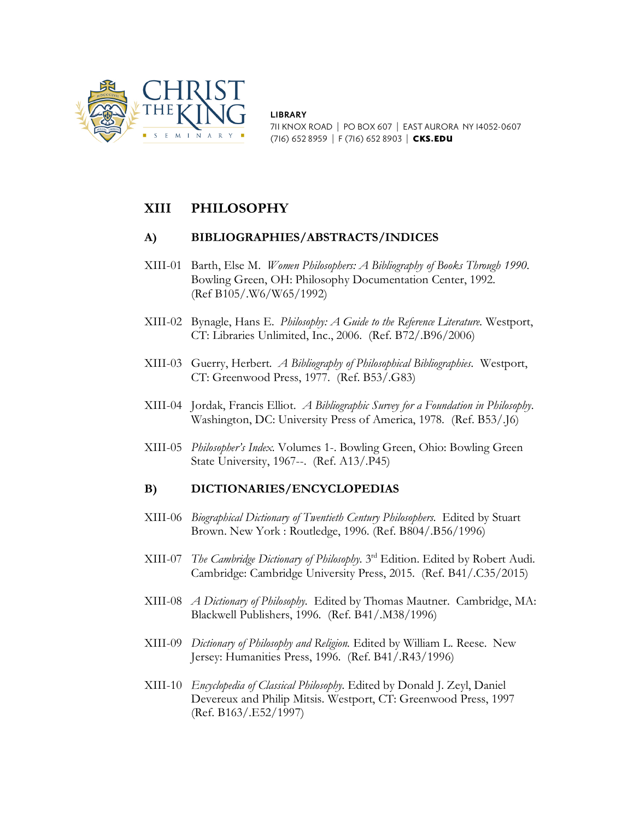

**LIBRARY** 711 KNOX ROAD | PO BOX 607 | EAST AURORA NY 14052-0607 (716) 652 8959 | F (716) 652 8903 | CKS.EDU

# **XIII PHILOSOPHY**

## **A) BIBLIOGRAPHIES/ABSTRACTS/INDICES**

- XIII-01 Barth, Else M. *Women Philosophers: A Bibliography of Books Through 1990*. Bowling Green, OH: Philosophy Documentation Center, 1992. (Ref B105/.W6/W65/1992)
- XIII-02 Bynagle, Hans E. *Philosophy: A Guide to the Reference Literature.* Westport, CT: Libraries Unlimited, Inc., 2006. (Ref. B72/.B96/2006)
- XIII-03 Guerry, Herbert. *A Bibliography of Philosophical Bibliographies.* Westport, CT: Greenwood Press, 1977. (Ref. B53/.G83)
- XIII-04 Jordak, Francis Elliot. *A Bibliographic Survey for a Foundation in Philosophy*. Washington, DC: University Press of America, 1978. (Ref. B53/.J6)
- XIII-05 *Philosopher's Index.* Volumes 1-. Bowling Green, Ohio: Bowling Green State University, 1967--. (Ref. A13/.P45)

## **B) DICTIONARIES/ENCYCLOPEDIAS**

- XIII-06 *Biographical Dictionary of Twentieth Century Philosophers.* Edited by Stuart Brown. New York : Routledge, 1996. (Ref. B804/.B56/1996)
- XIII-07 *The Cambridge Dictionary of Philosophy.* 3rd Edition. Edited by Robert Audi. Cambridge: Cambridge University Press, 2015. (Ref. B41/.C35/2015)
- XIII-08 *A Dictionary of Philosophy.* Edited by Thomas Mautner. Cambridge, MA: Blackwell Publishers, 1996. (Ref. B41/.M38/1996)
- XIII-09 *Dictionary of Philosophy and Religion.* Edited by William L. Reese. New Jersey: Humanities Press, 1996. (Ref. B41/.R43/1996)
- XIII-10 *Encyclopedia of Classical Philosophy.* Edited by Donald J. Zeyl, Daniel Devereux and Philip Mitsis. Westport, CT: Greenwood Press, 1997 (Ref. B163/.E52/1997)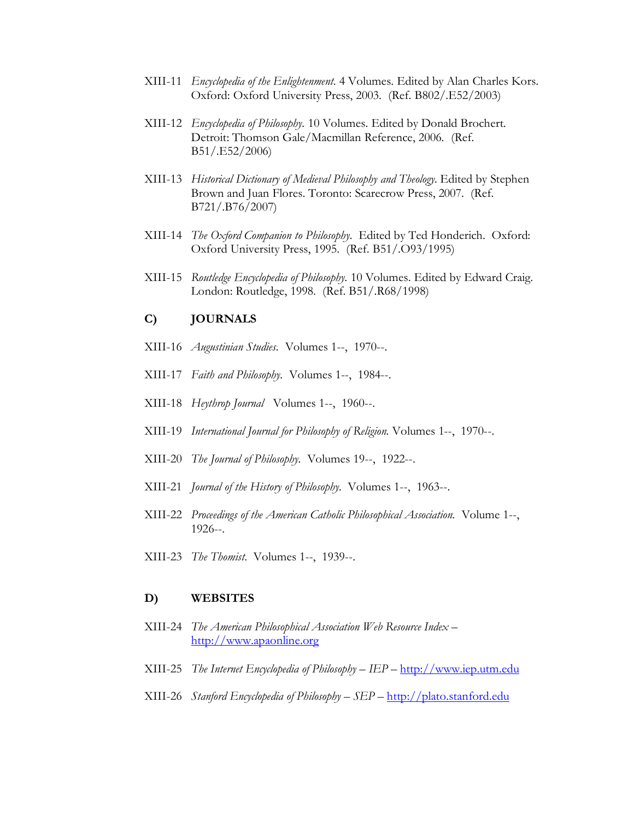- XIII-11 *Encyclopedia of the Enlightenment.* 4 Volumes. Edited by Alan Charles Kors. Oxford: Oxford University Press, 2003. (Ref. B802/.E52/2003)
- XIII-12 *Encyclopedia of Philosophy.* 10 Volumes. Edited by Donald Brochert. Detroit: Thomson Gale/Macmillan Reference, 2006. (Ref. B51/.E52/2006)
- XIII-13 *Historical Dictionary of Medieval Philosophy and Theology.* Edited by Stephen Brown and Juan Flores. Toronto: Scarecrow Press, 2007. (Ref. B721/.B76/2007)
- XIII-14 *The Oxford Companion to Philosophy.* Edited by Ted Honderich. Oxford: Oxford University Press, 1995. (Ref. B51/.O93/1995)
- XIII-15 *Routledge Encyclopedia of Philosophy.* 10 Volumes. Edited by Edward Craig. London: Routledge, 1998. (Ref. B51/.R68/1998)

### **C) JOURNALS**

- XIII-16 *Augustinian Studies.* Volumes 1--, 1970--.
- XIII-17 *Faith and Philosophy.* Volumes 1--, 1984--.
- XIII-18 *Heythrop Journal* Volumes 1--, 1960--.
- XIII-19 *International Journal for Philosophy of Religion.* Volumes 1--, 1970--.
- XIII-20 *The Journal of Philosophy.* Volumes 19--, 1922--.
- XIII-21 *Journal of the History of Philosophy.* Volumes 1--, 1963--.
- XIII-22 *Proceedings of the American Catholic Philosophical Association.* Volume 1--, 1926--.
- XIII-23 *The Thomist*. Volumes 1--, 1939--.

#### **D) WEBSITES**

- XIII-24 *The American Philosophical Association Web Resource Index –* [http://www.apaonline.org](http://www.apaonline.org/)
- XIII-25 *The Internet Encyclopedia of Philosophy – IEP –* [http://www.iep.utm.edu](http://www.iep.utm.edu/)
- XIII-26 *Stanford Encyclopedia of Philosophy – SEP –* [http://plato.stanford.edu](http://plato.stanford.edu/)